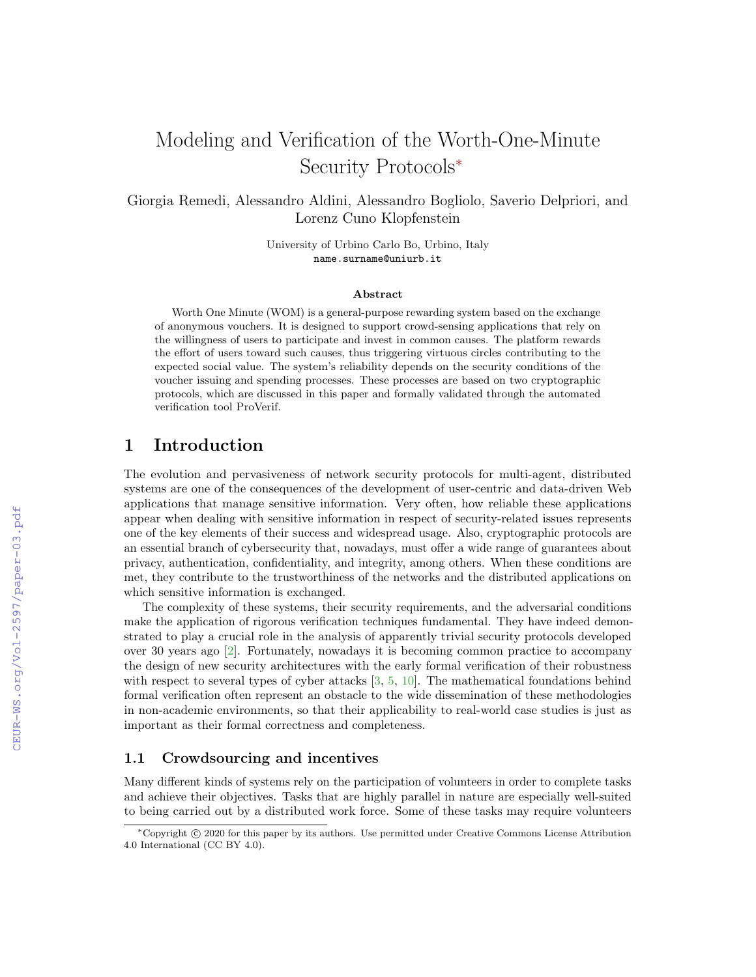# Modeling and Verification of the Worth-One-Minute Security Protocols<sup>∗</sup>

Giorgia Remedi, Alessandro Aldini, Alessandro Bogliolo, Saverio Delpriori, and Lorenz Cuno Klopfenstein

> University of Urbino Carlo Bo, Urbino, Italy name.surname@uniurb.it

### Abstract

Worth One Minute (WOM) is a general-purpose rewarding system based on the exchange of anonymous vouchers. It is designed to support crowd-sensing applications that rely on the willingness of users to participate and invest in common causes. The platform rewards the effort of users toward such causes, thus triggering virtuous circles contributing to the expected social value. The system's reliability depends on the security conditions of the voucher issuing and spending processes. These processes are based on two cryptographic protocols, which are discussed in this paper and formally validated through the automated verification tool ProVerif.

## 1 Introduction

The evolution and pervasiveness of network security protocols for multi-agent, distributed systems are one of the consequences of the development of user-centric and data-driven Web applications that manage sensitive information. Very often, how reliable these applications appear when dealing with sensitive information in respect of security-related issues represents one of the key elements of their success and widespread usage. Also, cryptographic protocols are an essential branch of cybersecurity that, nowadays, must offer a wide range of guarantees about privacy, authentication, confidentiality, and integrity, among others. When these conditions are met, they contribute to the trustworthiness of the networks and the distributed applications on which sensitive information is exchanged.

The complexity of these systems, their security requirements, and the adversarial conditions make the application of rigorous verification techniques fundamental. They have indeed demonstrated to play a crucial role in the analysis of apparently trivial security protocols developed over 30 years ago [\[2\]](#page--1-0). Fortunately, nowadays it is becoming common practice to accompany the design of new security architectures with the early formal verification of their robustness with respect to several types of cyber attacks [\[3,](#page--1-1) [5,](#page--1-2) [10\]](#page--1-3). The mathematical foundations behind formal verification often represent an obstacle to the wide dissemination of these methodologies in non-academic environments, so that their applicability to real-world case studies is just as important as their formal correctness and completeness.

### 1.1 Crowdsourcing and incentives

Many different kinds of systems rely on the participation of volunteers in order to complete tasks and achieve their objectives. Tasks that are highly parallel in nature are especially well-suited to being carried out by a distributed work force. Some of these tasks may require volunteers

<sup>∗</sup>Copyright c 2020 for this paper by its authors. Use permitted under Creative Commons License Attribution 4.0 International (CC BY 4.0).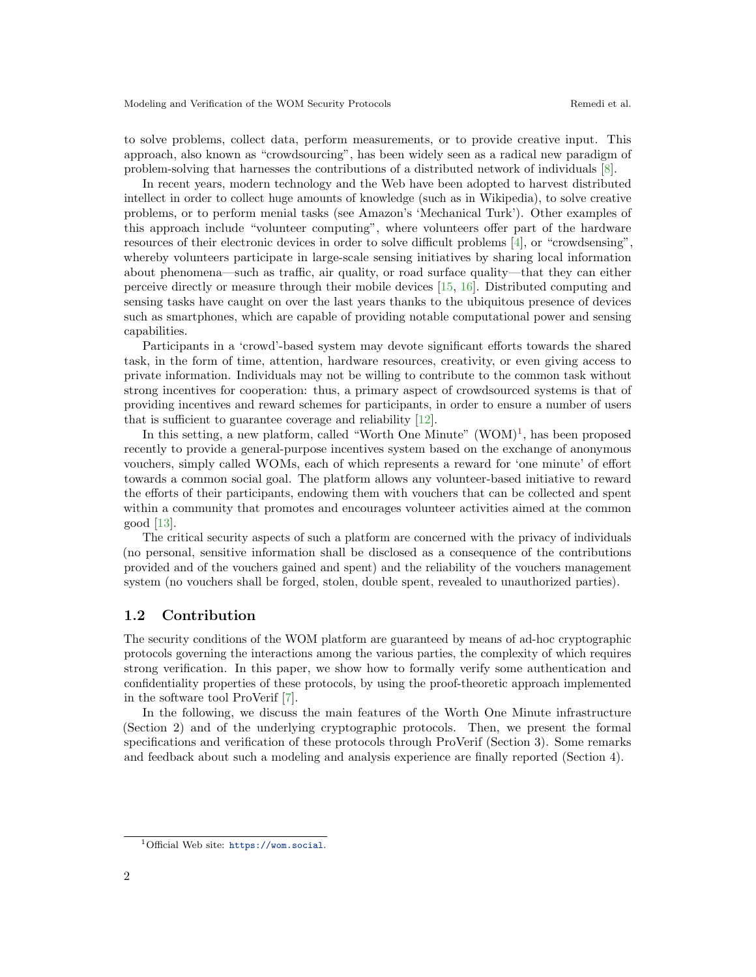to solve problems, collect data, perform measurements, or to provide creative input. This approach, also known as "crowdsourcing", has been widely seen as a radical new paradigm of problem-solving that harnesses the contributions of a distributed network of individuals [\[8\]](#page-10-0).

In recent years, modern technology and the Web have been adopted to harvest distributed intellect in order to collect huge amounts of knowledge (such as in Wikipedia), to solve creative problems, or to perform menial tasks (see Amazon's 'Mechanical Turk'). Other examples of this approach include "volunteer computing", where volunteers offer part of the hardware resources of their electronic devices in order to solve difficult problems [\[4\]](#page-10-1), or "crowdsensing", whereby volunteers participate in large-scale sensing initiatives by sharing local information about phenomena—such as traffic, air quality, or road surface quality—that they can either perceive directly or measure through their mobile devices [\[15,](#page-10-2) [16\]](#page-11-0). Distributed computing and sensing tasks have caught on over the last years thanks to the ubiquitous presence of devices such as smartphones, which are capable of providing notable computational power and sensing capabilities.

Participants in a 'crowd'-based system may devote significant efforts towards the shared task, in the form of time, attention, hardware resources, creativity, or even giving access to private information. Individuals may not be willing to contribute to the common task without strong incentives for cooperation: thus, a primary aspect of crowdsourced systems is that of providing incentives and reward schemes for participants, in order to ensure a number of users that is sufficient to guarantee coverage and reliability [\[12\]](#page-10-3).

In this setting, a new platform, called "Worth One Minute"  $(WOM)^1$  $(WOM)^1$ , has been proposed recently to provide a general-purpose incentives system based on the exchange of anonymous vouchers, simply called WOMs, each of which represents a reward for 'one minute' of effort towards a common social goal. The platform allows any volunteer-based initiative to reward the efforts of their participants, endowing them with vouchers that can be collected and spent within a community that promotes and encourages volunteer activities aimed at the common good [\[13\]](#page-10-4).

The critical security aspects of such a platform are concerned with the privacy of individuals (no personal, sensitive information shall be disclosed as a consequence of the contributions provided and of the vouchers gained and spent) and the reliability of the vouchers management system (no vouchers shall be forged, stolen, double spent, revealed to unauthorized parties).

### 1.2 Contribution

The security conditions of the WOM platform are guaranteed by means of ad-hoc cryptographic protocols governing the interactions among the various parties, the complexity of which requires strong verification. In this paper, we show how to formally verify some authentication and confidentiality properties of these protocols, by using the proof-theoretic approach implemented in the software tool ProVerif [\[7\]](#page-10-5).

In the following, we discuss the main features of the Worth One Minute infrastructure (Section 2) and of the underlying cryptographic protocols. Then, we present the formal specifications and verification of these protocols through ProVerif (Section 3). Some remarks and feedback about such a modeling and analysis experience are finally reported (Section 4).

<span id="page-1-0"></span><sup>1</sup>Official Web site: <https://wom.social>.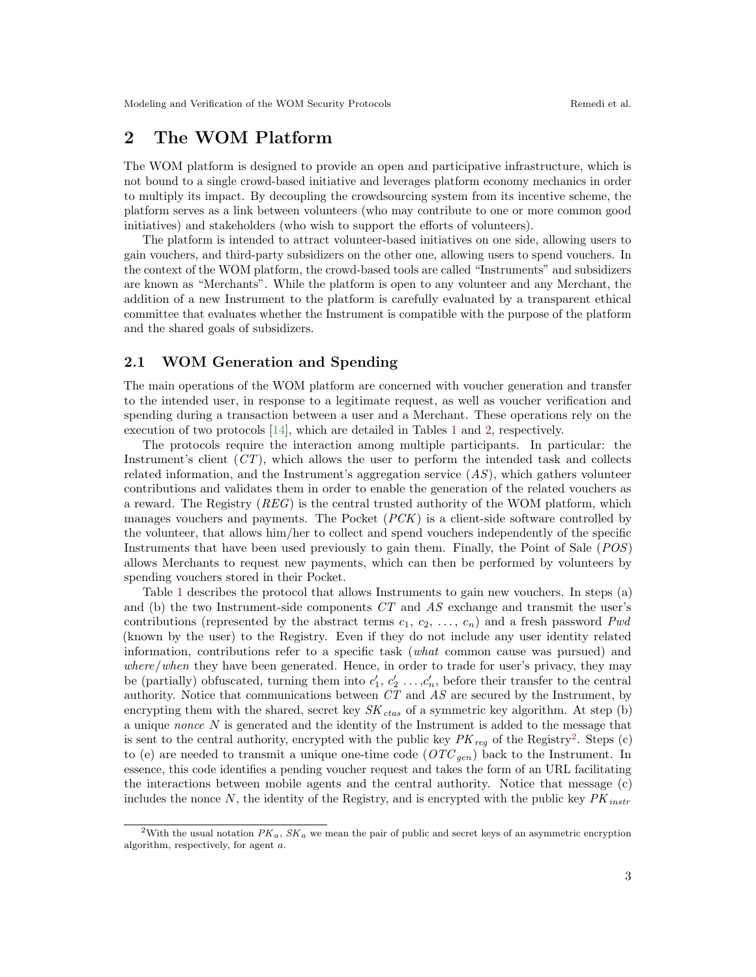# 2 The WOM Platform

The WOM platform is designed to provide an open and participative infrastructure, which is not bound to a single crowd-based initiative and leverages platform economy mechanics in order to multiply its impact. By decoupling the crowdsourcing system from its incentive scheme, the platform serves as a link between volunteers (who may contribute to one or more common good initiatives) and stakeholders (who wish to support the efforts of volunteers).

The platform is intended to attract volunteer-based initiatives on one side, allowing users to gain vouchers, and third-party subsidizers on the other one, allowing users to spend vouchers. In the context of the WOM platform, the crowd-based tools are called "Instruments" and subsidizers are known as "Merchants". While the platform is open to any volunteer and any Merchant, the addition of a new Instrument to the platform is carefully evaluated by a transparent ethical committee that evaluates whether the Instrument is compatible with the purpose of the platform and the shared goals of subsidizers.

### 2.1 WOM Generation and Spending

The main operations of the WOM platform are concerned with voucher generation and transfer to the intended user, in response to a legitimate request, as well as voucher verification and spending during a transaction between a user and a Merchant. These operations rely on the execution of two protocols [\[14\]](#page-10-6), which are detailed in Tables [1](#page-3-0) and [2,](#page-4-0) respectively.

The protocols require the interaction among multiple participants. In particular: the Instrument's client  $(CT)$ , which allows the user to perform the intended task and collects related information, and the Instrument's aggregation service  $(AS)$ , which gathers volunteer contributions and validates them in order to enable the generation of the related vouchers as a reward. The Registry  $(REG)$  is the central trusted authority of the WOM platform, which manages vouchers and payments. The Pocket  $(PCK)$  is a client-side software controlled by the volunteer, that allows him/her to collect and spend vouchers independently of the specific Instruments that have been used previously to gain them. Finally, the Point of Sale (POS) allows Merchants to request new payments, which can then be performed by volunteers by spending vouchers stored in their Pocket.

Table [1](#page-3-0) describes the protocol that allows Instruments to gain new vouchers. In steps (a) and (b) the two Instrument-side components  $CT$  and  $AS$  exchange and transmit the user's contributions (represented by the abstract terms  $c_1, c_2, \ldots, c_n$ ) and a fresh password Pwd (known by the user) to the Registry. Even if they do not include any user identity related information, contributions refer to a specific task (what common cause was pursued) and where/when they have been generated. Hence, in order to trade for user's privacy, they may be (partially) obfuscated, turning them into  $c'_1, c'_2, \ldots, c'_n$ , before their transfer to the central authority. Notice that communications between  $CT$  and  $AS$  are secured by the Instrument, by encrypting them with the shared, secret key  $SK_{ctas}$  of a symmetric key algorithm. At step (b) a unique *nonce*  $N$  is generated and the identity of the Instrument is added to the message that is sent to the central authority, encrypted with the public key  $PK_{reg}$  of the Registry<sup>[2](#page-2-0)</sup>. Steps (c) to (e) are needed to transmit a unique one-time code  $(OTC_{gen})$  back to the Instrument. In essence, this code identifies a pending voucher request and takes the form of an URL facilitating the interactions between mobile agents and the central authority. Notice that message (c) includes the nonce  $N$ , the identity of the Registry, and is encrypted with the public key  $PK_{instr}$ 

<span id="page-2-0"></span><sup>&</sup>lt;sup>2</sup>With the usual notation  $PK_a$ ,  $SK_a$  we mean the pair of public and secret keys of an asymmetric encryption algorithm, respectively, for agent a.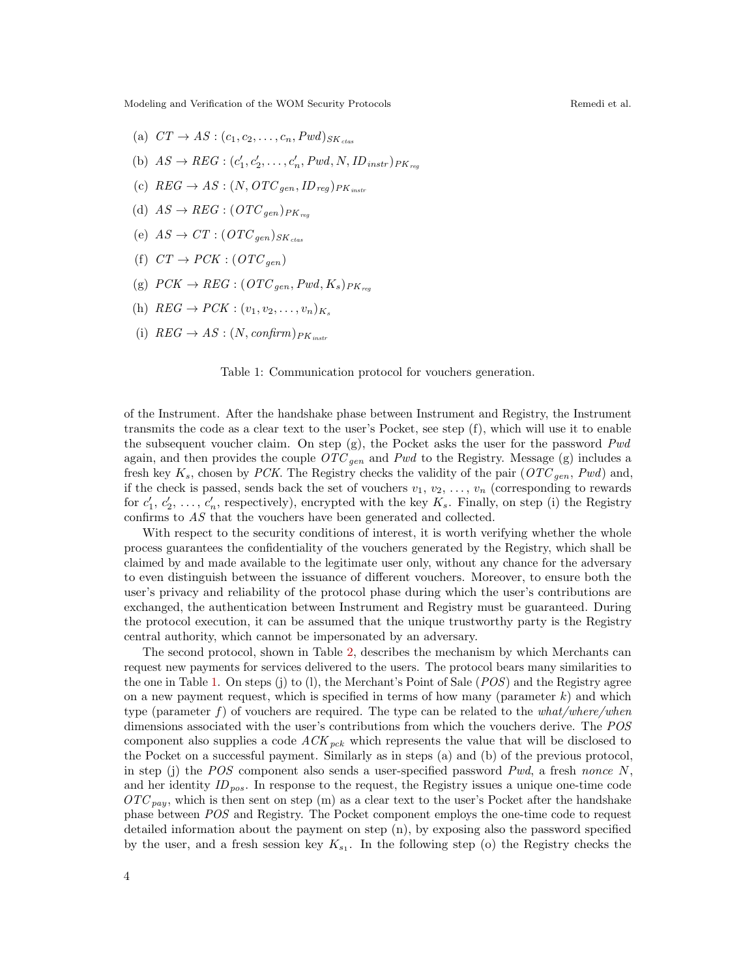- (a)  $CT \rightarrow AS : (c_1, c_2, \ldots, c_n, Pwd)_{SK_{ctas}}$
- (b)  $AS \rightarrow REG : (c'_1, c'_2, \ldots, c'_n, Pwd, N, ID_{instr})_{PK_{reg}}$
- (c)  $REG \rightarrow AS : (N, OTC_{gen}, ID_{reg})_{PK_{instr}}$
- (d)  $AS \rightarrow REG : (OTC_{gen})_{PK_{ren}}$
- (e)  $AS \rightarrow CT : (OTC_{gen})_{SK_{at}}$
- (f)  $CT \rightarrow PCK$  :  $(OTC_{gen})$
- (g)  $PCK \rightarrow REG : (OTC_{gen}, Pwd, K_s)_{PK_{res}}$
- (h)  $REG \rightarrow PCK$  :  $(v_1, v_2, \ldots, v_n)_{K_s}$
- (i)  $REG \rightarrow AS : (N, confirm)_{PK_{instr}}$

<span id="page-3-0"></span>Table 1: Communication protocol for vouchers generation.

of the Instrument. After the handshake phase between Instrument and Registry, the Instrument transmits the code as a clear text to the user's Pocket, see step (f), which will use it to enable the subsequent voucher claim. On step  $(g)$ , the Pocket asks the user for the password  $Pwd$ again, and then provides the couple  $OTC_{gen}$  and Pwd to the Registry. Message (g) includes a fresh key  $K_s$ , chosen by PCK. The Registry checks the validity of the pair  $(OTC_{gen}, Pwd)$  and, if the check is passed, sends back the set of vouchers  $v_1, v_2, \ldots, v_n$  (corresponding to rewards for  $c'_1, c'_2, \ldots, c'_n$ , respectively), encrypted with the key  $K_s$ . Finally, on step (i) the Registry confirms to AS that the vouchers have been generated and collected.

With respect to the security conditions of interest, it is worth verifying whether the whole process guarantees the confidentiality of the vouchers generated by the Registry, which shall be claimed by and made available to the legitimate user only, without any chance for the adversary to even distinguish between the issuance of different vouchers. Moreover, to ensure both the user's privacy and reliability of the protocol phase during which the user's contributions are exchanged, the authentication between Instrument and Registry must be guaranteed. During the protocol execution, it can be assumed that the unique trustworthy party is the Registry central authority, which cannot be impersonated by an adversary.

The second protocol, shown in Table [2,](#page-4-0) describes the mechanism by which Merchants can request new payments for services delivered to the users. The protocol bears many similarities to the one in Table [1.](#page-3-0) On steps (j) to (l), the Merchant's Point of Sale (POS) and the Registry agree on a new payment request, which is specified in terms of how many (parameter  $k$ ) and which type (parameter f) of vouchers are required. The type can be related to the  $what/where/when$ dimensions associated with the user's contributions from which the vouchers derive. The POS component also supplies a code  $ACK_{ack}$  which represents the value that will be disclosed to the Pocket on a successful payment. Similarly as in steps (a) and (b) of the previous protocol, in step (j) the *POS* component also sends a user-specified password *Pwd*, a fresh nonce  $N$ , and her identity  $ID_{pos}$ . In response to the request, the Registry issues a unique one-time code  $\overline{OTC}_{pay}$ , which is then sent on step (m) as a clear text to the user's Pocket after the handshake phase between POS and Registry. The Pocket component employs the one-time code to request detailed information about the payment on step (n), by exposing also the password specified by the user, and a fresh session key  $K_{s_1}$ . In the following step (o) the Registry checks the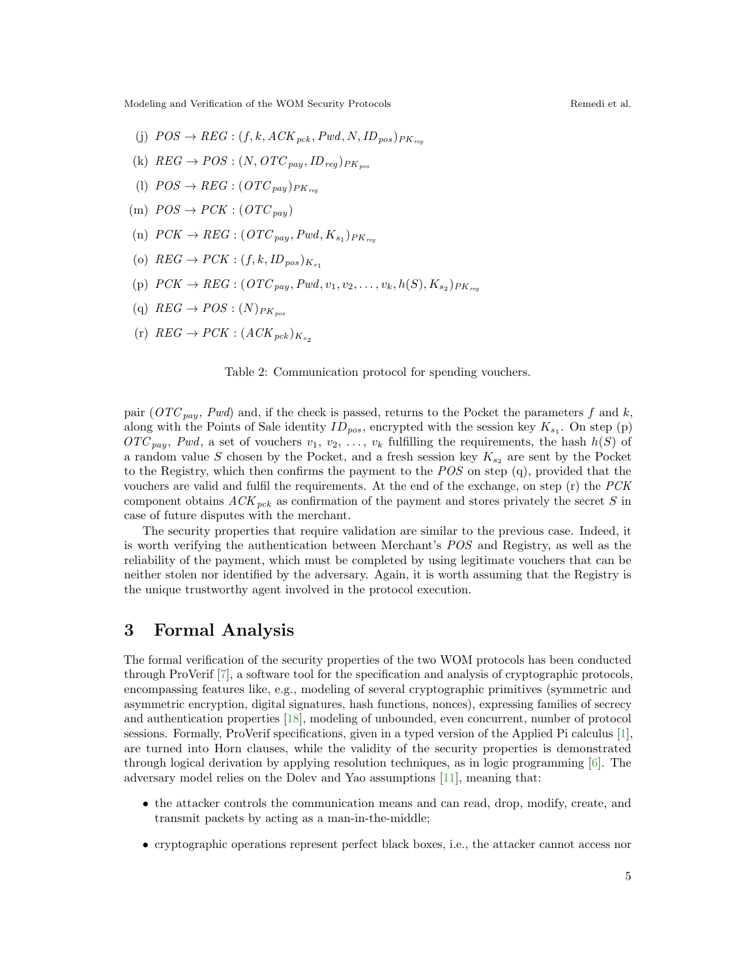- (i)  $POS \rightarrow REG : (f, k, ACK_{ack}, Pwd, N, ID_{nos})_{PK_{res}}$
- (k)  $REG \rightarrow POS : (N, OTC_{pay}, ID_{req})_{PK_{pos}}$
- (l)  $POS \rightarrow REG : (OTC_{nav})_{PK}$
- (m)  $POS \rightarrow PCK : (OTC_{pay})$
- (n)  $\text{PCK} \rightarrow \text{REG}: (\text{OTC}_{pay}, \text{Pwd}, K_{s_1})_{\text{PK}_{reg}}$
- (o)  $REG \rightarrow PCK : (f, k, ID_{pos})_{K_{neg}}$
- (p)  $PCK \rightarrow REG : (OTC_{pay}, Pwd, v_1, v_2, \ldots, v_k, h(S), K_{s_2})_{PK_{reg}}$
- (q)  $REG \rightarrow POS : (N)_{PK_{pos}}$
- $(r)$   $REG \rightarrow PCK : (ACK_{ack})_{K_{eq}}$

<span id="page-4-0"></span>Table 2: Communication protocol for spending vouchers.

pair ( $OTC_{\textit{pau}}$ , Pwd) and, if the check is passed, returns to the Pocket the parameters f and k, along with the Points of Sale identity  $ID_{pos}$ , encrypted with the session key  $K_{s_1}$ . On step (p)  $\mathit{OTC}_{pay}$ , Pwd, a set of vouchers  $v_1, v_2, \ldots, v_k$  fulfilling the requirements, the hash  $h(S)$  of a random value S chosen by the Pocket, and a fresh session key  $K_{s_2}$  are sent by the Pocket to the Registry, which then confirms the payment to the  $POS$  on step (q), provided that the vouchers are valid and fulfil the requirements. At the end of the exchange, on step (r) the PCK component obtains  $ACK_{pck}$  as confirmation of the payment and stores privately the secret S in case of future disputes with the merchant.

The security properties that require validation are similar to the previous case. Indeed, it is worth verifying the authentication between Merchant's POS and Registry, as well as the reliability of the payment, which must be completed by using legitimate vouchers that can be neither stolen nor identified by the adversary. Again, it is worth assuming that the Registry is the unique trustworthy agent involved in the protocol execution.

# 3 Formal Analysis

The formal verification of the security properties of the two WOM protocols has been conducted through ProVerif [\[7\]](#page-10-5), a software tool for the specification and analysis of cryptographic protocols, encompassing features like, e.g., modeling of several cryptographic primitives (symmetric and asymmetric encryption, digital signatures, hash functions, nonces), expressing families of secrecy and authentication properties [\[18\]](#page-11-1), modeling of unbounded, even concurrent, number of protocol sessions. Formally, ProVerif specifications, given in a typed version of the Applied Pi calculus [\[1\]](#page-10-7), are turned into Horn clauses, while the validity of the security properties is demonstrated through logical derivation by applying resolution techniques, as in logic programming [\[6\]](#page-10-8). The adversary model relies on the Dolev and Yao assumptions [\[11\]](#page-10-9), meaning that:

- the attacker controls the communication means and can read, drop, modify, create, and transmit packets by acting as a man-in-the-middle;
- cryptographic operations represent perfect black boxes, i.e., the attacker cannot access nor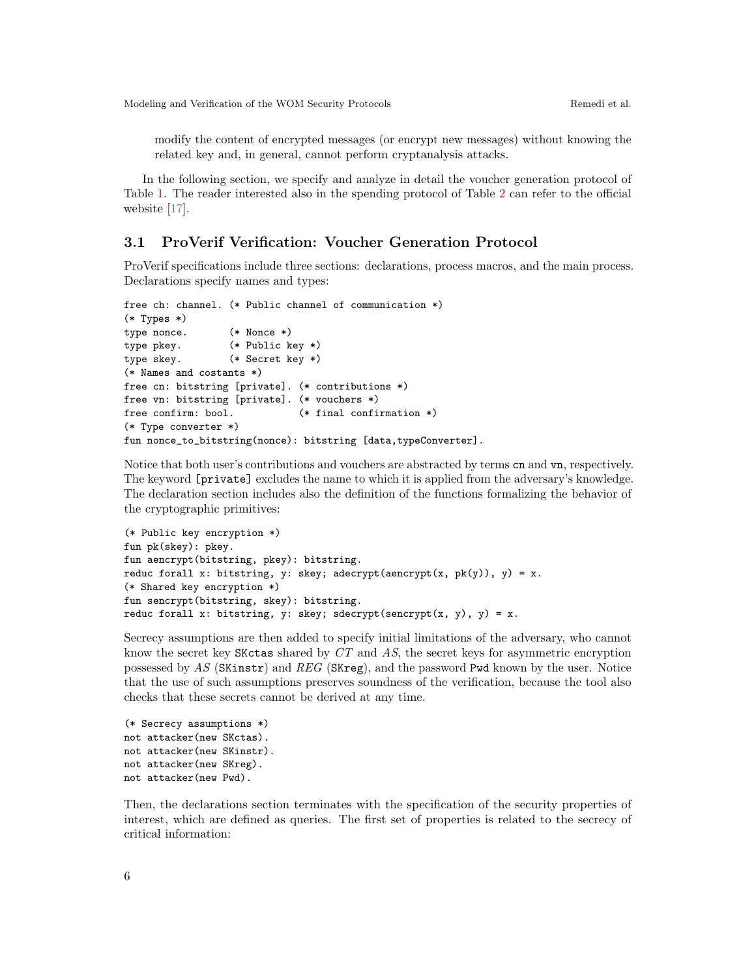modify the content of encrypted messages (or encrypt new messages) without knowing the related key and, in general, cannot perform cryptanalysis attacks.

In the following section, we specify and analyze in detail the voucher generation protocol of Table [1.](#page-3-0) The reader interested also in the spending protocol of Table [2](#page-4-0) can refer to the official website [\[17\]](#page-11-2).

### 3.1 ProVerif Verification: Voucher Generation Protocol

ProVerif specifications include three sections: declarations, process macros, and the main process. Declarations specify names and types:

```
free ch: channel. (* Public channel of communication *)
(* Types *)
type nonce. (* Nonce *)
type pkey. (* Public key *)
type skey. (* Secret key *)
(* Names and costants *)
free cn: bitstring [private]. (* contributions *)
free vn: bitstring [private]. (* vouchers *)
free confirm: bool. (* final confirmation *)
(* Type converter *)
fun nonce_to_bitstring(nonce): bitstring [data,typeConverter].
```
Notice that both user's contributions and vouchers are abstracted by terms cn and vn, respectively. The keyword [private] excludes the name to which it is applied from the adversary's knowledge. The declaration section includes also the definition of the functions formalizing the behavior of the cryptographic primitives:

```
(* Public key encryption *)
fun pk(skey): pkey.
fun aencrypt(bitstring, pkey): bitstring.
reduc forall x: bitstring, y: skey; adecrypt(aencrypt(x, pk(y)), y) = x.
(* Shared key encryption *)
fun sencrypt(bitstring, skey): bitstring.
reduc forall x: bitstring, y: skey; sdecrypt(sencrypt(x, y), y) = x.
```
Secrecy assumptions are then added to specify initial limitations of the adversary, who cannot know the secret key SKctas shared by CT and AS, the secret keys for asymmetric encryption possessed by AS (SKinstr) and REG (SKreg), and the password Pwd known by the user. Notice that the use of such assumptions preserves soundness of the verification, because the tool also checks that these secrets cannot be derived at any time.

(\* Secrecy assumptions \*) not attacker(new SKctas). not attacker(new SKinstr). not attacker(new SKreg). not attacker(new Pwd).

Then, the declarations section terminates with the specification of the security properties of interest, which are defined as queries. The first set of properties is related to the secrecy of critical information: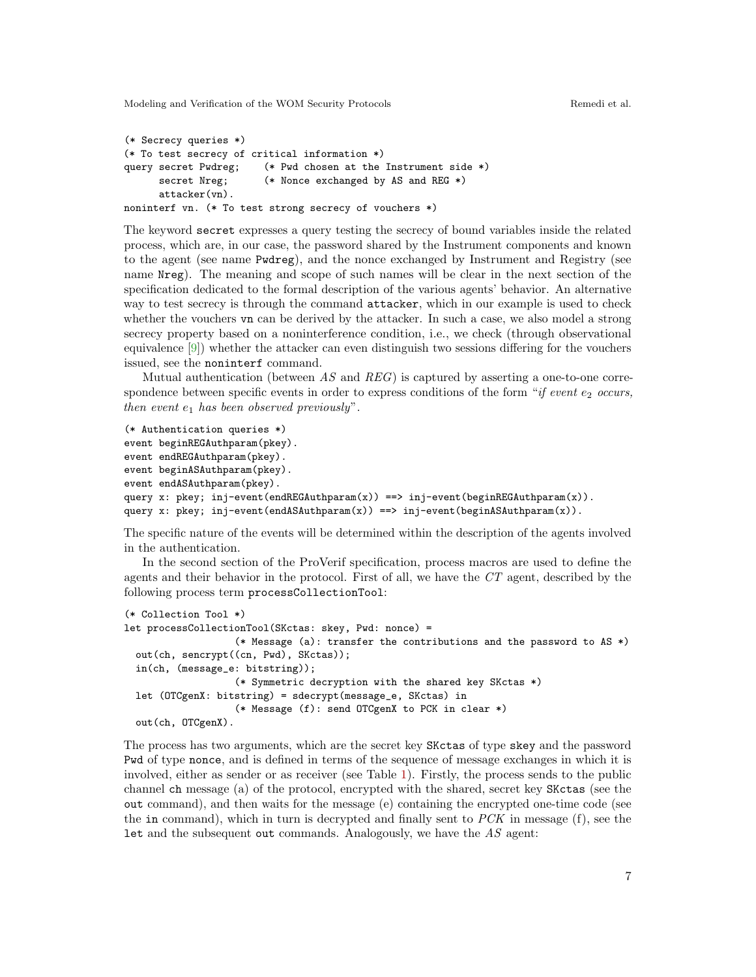```
(* Secrecy queries *)
(* To test secrecy of critical information *)
query secret Pwdreg; (* Pwd chosen at the Instrument side *)
      secret Nreg; (** Nonce exchanged by AS and REG *)
      attacker(vn).
noninterf vn. (* To test strong secrecy of vouchers *)
```
The keyword secret expresses a query testing the secrecy of bound variables inside the related process, which are, in our case, the password shared by the Instrument components and known to the agent (see name Pwdreg), and the nonce exchanged by Instrument and Registry (see name Nreg). The meaning and scope of such names will be clear in the next section of the specification dedicated to the formal description of the various agents' behavior. An alternative way to test secrecy is through the command attacker, which in our example is used to check whether the vouchers vn can be derived by the attacker. In such a case, we also model a strong secrecy property based on a noninterference condition, i.e., we check (through observational equivalence [\[9\]](#page-10-10)) whether the attacker can even distinguish two sessions differing for the vouchers issued, see the noninterf command.

Mutual authentication (between  $AS$  and  $REG$ ) is captured by asserting a one-to-one correspondence between specific events in order to express conditions of the form "if event  $e_2$  occurs, then event  $e_1$  has been observed previously".

```
(* Authentication queries *)
event beginREGAuthparam(pkey).
event endREGAuthparam(pkey).
event beginASAuthparam(pkey).
event endASAuthparam(pkey).
query x: pkey; inj-event(endREGAuthparam(x)) ==> inj-event(beginREGAuthparam(x)).
query x: pkey; inj-event(endASAuthparam(x)) ==> inj-event(beginASAuthparam(x)).
```
The specific nature of the events will be determined within the description of the agents involved in the authentication.

In the second section of the ProVerif specification, process macros are used to define the agents and their behavior in the protocol. First of all, we have the CT agent, described by the following process term processCollectionTool:

```
(* Collection Tool *)
let processCollectionTool(SKctas: skey, Pwd: nonce) =
                   (* Message (a): transfer the contributions and the password to AS *)
 out(ch, sencrypt((cn, Pwd), SKctas));
 in(ch, (message_e: bitstring));
                   (* Symmetric decryption with the shared key SKctas *)
 let (OTCgenX: bitstring) = sdecrypt(message_e, SKctas) in
                   (* Message (f): send OTCgenX to PCK in clear *)
 out(ch, OTCgenX).
```
The process has two arguments, which are the secret key SKctas of type skey and the password Pwd of type nonce, and is defined in terms of the sequence of message exchanges in which it is involved, either as sender or as receiver (see Table [1\)](#page-3-0). Firstly, the process sends to the public channel ch message (a) of the protocol, encrypted with the shared, secret key SKctas (see the out command), and then waits for the message (e) containing the encrypted one-time code (see the in command), which in turn is decrypted and finally sent to  $PCK$  in message (f), see the Let and the subsequent out commands. Analogously, we have the  $AS$  agent: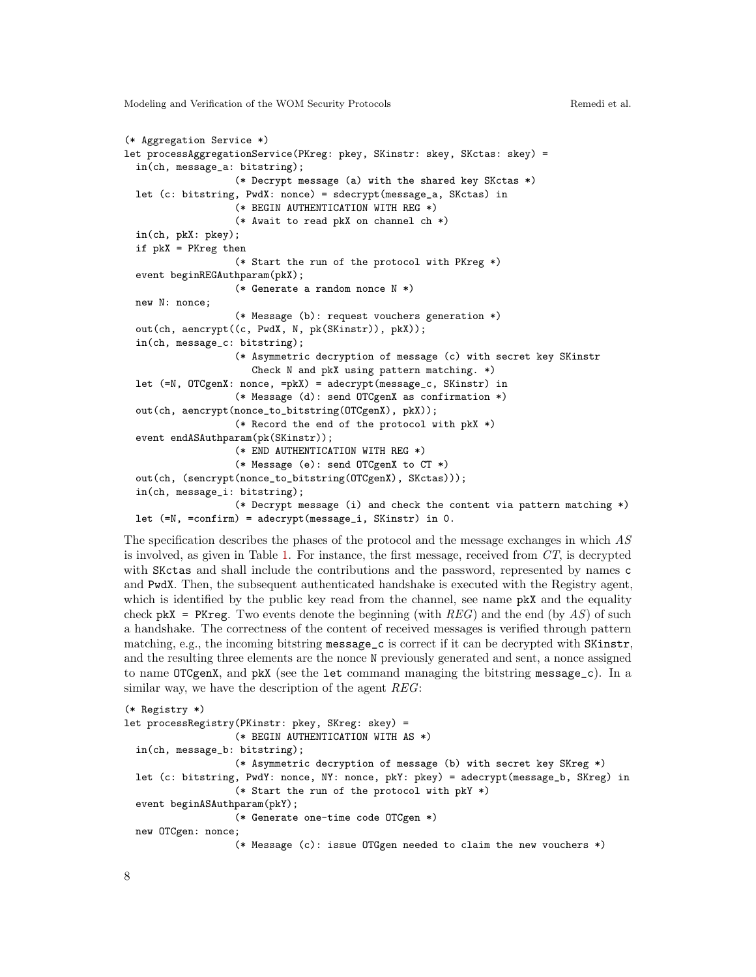```
(* Aggregation Service *)
let processAggregationService(PKreg: pkey, SKinstr: skey, SKctas: skey) =
  in(ch, message_a: bitstring);
                   (* Decrypt message (a) with the shared key SKctas *)
  let (c: bitstring, PwdX: nonce) = sdecrypt(message_a, SKctas) in
                   (* BEGIN AUTHENTICATION WITH REG *)
                   (* Await to read pkX on channel ch *)
  in(ch, pkX: pkey);
  if pkX = PKreg then
                   (* Start the run of the protocol with PKreg *)
  event beginREGAuthparam(pkX);
                   (* Generate a random nonce N *)
 new N: nonce;
                   (* Message (b): request vouchers generation *)
 out(ch, aencrypt((c, PwdX, N, pk(SKinstr)), pkX));
 in(ch, message_c: bitstring);
                   (* Asymmetric decryption of message (c) with secret key SKinstr
                      Check N and pkX using pattern matching. *)
 let (=N, OTCgenX: nonce, =pkX) = adecrypt(message_c, SKinstr) in
                   (* Message (d): send OTCgenX as confirmation *)
  out(ch, aencrypt(nonce_to_bitstring(OTCgenX), pkX));
                   (* Record the end of the protocol with pkX *)
  event endASAuthparam(pk(SKinstr));
                   (* END AUTHENTICATION WITH REG *)
                   (* Message (e): send OTCgenX to CT *)
  out(ch, (sencrypt(nonce_to_bitstring(OTCgenX), SKctas)));
  in(ch, message_i: bitstring);
                   (* Decrypt message (i) and check the content via pattern matching *)
 let (=N, =confirm) = adecrypt(message_i, SKinstr) in 0.
```
The specification describes the phases of the protocol and the message exchanges in which AS is involved, as given in Table [1.](#page-3-0) For instance, the first message, received from  $CT$ , is decrypted with SKctas and shall include the contributions and the password, represented by names c and PwdX. Then, the subsequent authenticated handshake is executed with the Registry agent, which is identified by the public key read from the channel, see name **pkX** and the equality check  $pkX$  = PKreg. Two events denote the beginning (with REG) and the end (by AS) of such a handshake. The correctness of the content of received messages is verified through pattern matching, e.g., the incoming bitstring message\_c is correct if it can be decrypted with SKinstr, and the resulting three elements are the nonce N previously generated and sent, a nonce assigned to name OTCgenX, and pkX (see the let command managing the bitstring message\_c). In a similar way, we have the description of the agent REG:

```
(* Registry *)
let processRegistry(PKinstr: pkey, SKreg: skey) =
                   (* BEGIN AUTHENTICATION WITH AS *)
  in(ch, message_b: bitstring);
                   (* Asymmetric decryption of message (b) with secret key SKreg *)
 let (c: bitstring, PwdY: nonce, NY: nonce, pkY: pkey) = adecrypt(message_b, SKreg) in
                   (* Start the run of the protocol with pkY *)
 event beginASAuthparam(pkY);
                   (* Generate one-time code OTCgen *)
 new OTCgen: nonce;
                   (* Message (c): issue OTGgen needed to claim the new vouchers *)
```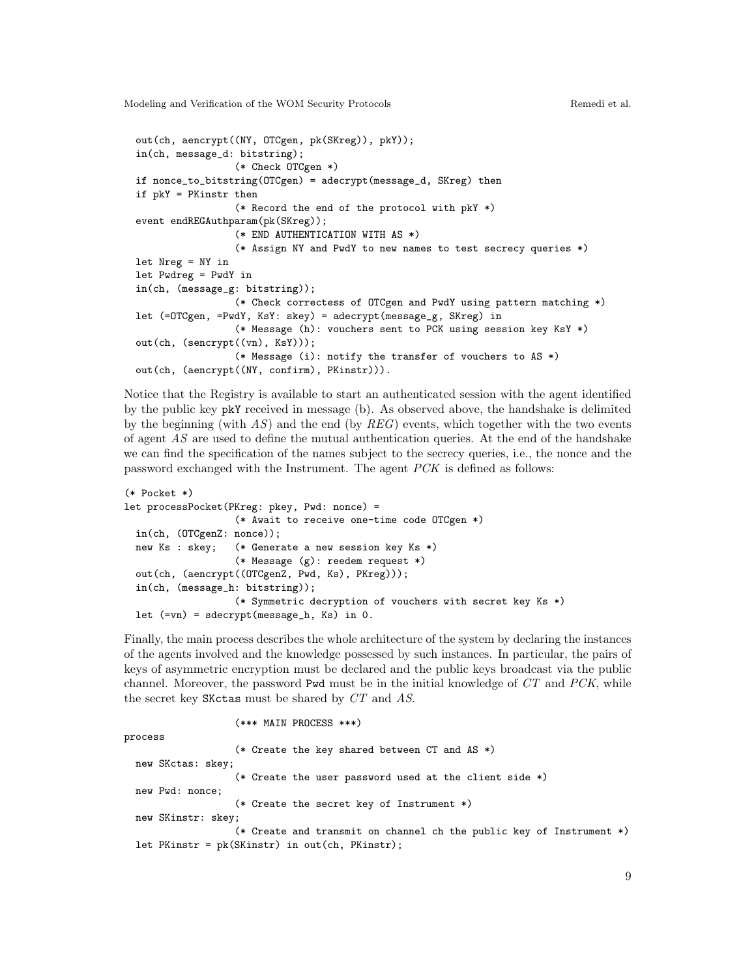```
out(ch, aencrypt((NY, OTCgen, pk(SKreg)), pkY));
in(ch, message_d: bitstring);
                 (* Check OTCgen *)
if nonce_to_bitstring(OTCgen) = adecrypt(message_d, SKreg) then
if pkY = PKinstr then
                 (* Record the end of the protocol with pkY *)
event endREGAuthparam(pk(SKreg));
                 (* END AUTHENTICATION WITH AS *)
                 (* Assign NY and PwdY to new names to test secrecy queries *)
let Nreg = NY in
let Pwdreg = PwdY in
in(ch, (message_g: bitstring));
                 (* Check correctess of OTCgen and PwdY using pattern matching *)
let (=OTCgen, =PwdY, KsY: skey) = adecrypt(message_g, SKreg) in
                 (* Message (h): vouchers sent to PCK using session key KsY *)
out(ch, (sencrypt((vn), KsY)));
                 (* Message (i): notify the transfer of vouchers to AS *)
out(ch, (aencrypt((NY, confirm), PKinstr))).
```
Notice that the Registry is available to start an authenticated session with the agent identified by the public key pkY received in message (b). As observed above, the handshake is delimited by the beginning (with  $AS$ ) and the end (by  $REG$ ) events, which together with the two events of agent AS are used to define the mutual authentication queries. At the end of the handshake we can find the specification of the names subject to the secrecy queries, i.e., the nonce and the password exchanged with the Instrument. The agent PCK is defined as follows:

```
(* Pocket *)
let processPocket(PKreg: pkey, Pwd: nonce) =
                   (* Await to receive one-time code OTCgen *)
  in(ch, (OTCgenZ: nonce));
 new Ks : skey; (* Generate a new session key Ks *)
                   (* Message (g): reedem request *)
 out(ch, (aencrypt((OTCgenZ, Pwd, Ks), PKreg)));
  in(ch, (message_h: bitstring));
                   (* Symmetric decryption of vouchers with secret key Ks *)
 let (=vn) = sdecrypt(message_h, Ks) in 0.
```
Finally, the main process describes the whole architecture of the system by declaring the instances of the agents involved and the knowledge possessed by such instances. In particular, the pairs of keys of asymmetric encryption must be declared and the public keys broadcast via the public channel. Moreover, the password Pwd must be in the initial knowledge of  $CT$  and  $PCK$ , while the secret key SKctas must be shared by CT and AS.

(\*\*\* MAIN PROCESS \*\*\*)

```
process
                   (* Create the key shared between CT and AS *)
 new SKctas: skey;
                   (* Create the user password used at the client side *)
 new Pwd: nonce;
                   (* Create the secret key of Instrument *)
  new SKinstr: skey;
                   (* Create and transmit on channel ch the public key of Instrument *)
  let PKinstr = pk(SKinstr) in out(ch, PKinstr);
```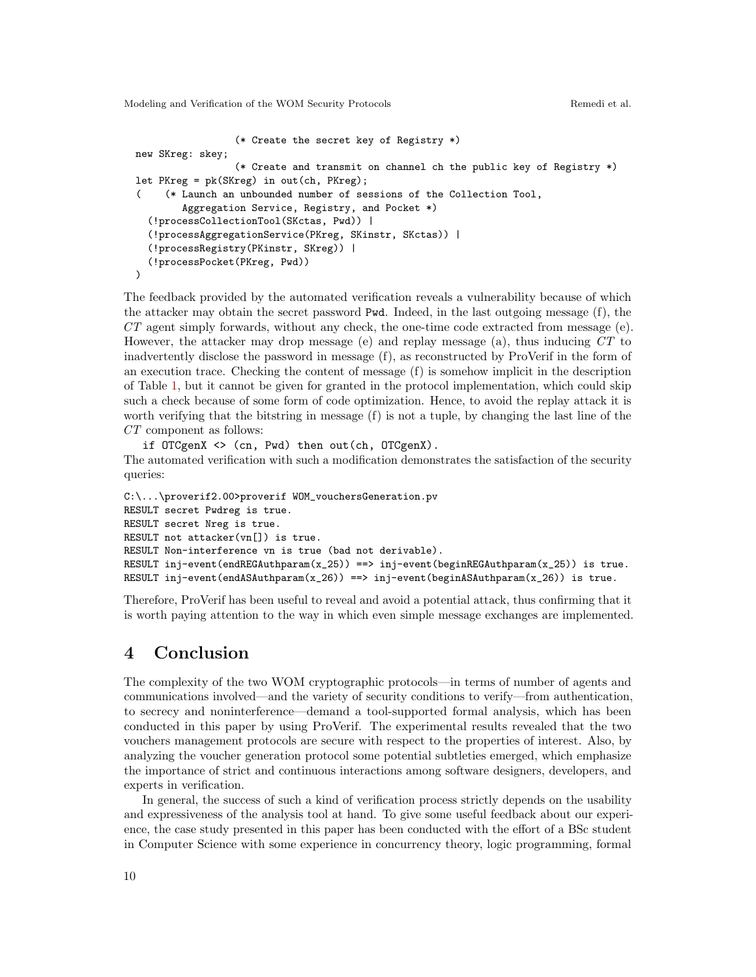```
(* Create the secret key of Registry *)
new SKreg: skey;
                 (* Create and transmit on channel ch the public key of Registry *)
let PKreg = pk(SKreg) in out(ch, PKreg);
     ( (* Launch an unbounded number of sessions of the Collection Tool,
        Aggregation Service, Registry, and Pocket *)
  (!processCollectionTool(SKctas, Pwd)) |
  (!processAggregationService(PKreg, SKinstr, SKctas)) |
  (!processRegistry(PKinstr, SKreg)) |
  (!processPocket(PKreg, Pwd))
\lambda
```
The feedback provided by the automated verification reveals a vulnerability because of which the attacker may obtain the secret password Pwd. Indeed, in the last outgoing message (f), the  $CT$  agent simply forwards, without any check, the one-time code extracted from message (e). However, the attacker may drop message (e) and replay message (a), thus inducing CT to inadvertently disclose the password in message (f), as reconstructed by ProVerif in the form of an execution trace. Checking the content of message (f) is somehow implicit in the description of Table [1,](#page-3-0) but it cannot be given for granted in the protocol implementation, which could skip such a check because of some form of code optimization. Hence, to avoid the replay attack it is worth verifying that the bitstring in message (f) is not a tuple, by changing the last line of the CT component as follows:

if OTCgenX <> (cn, Pwd) then out(ch, OTCgenX). The automated verification with such a modification demonstrates the satisfaction of the security queries:

```
C:\...\proverif2.00>proverif WOM_vouchersGeneration.pv
RESULT secret Pwdreg is true.
RESULT secret Nreg is true.
RESULT not attacker(vn[]) is true.
RESULT Non-interference vn is true (bad not derivable).
RESULT inj-event(endREGAuthparam(x_25)) ==> inj-event(beginREGAuthparam(x_25)) is true.
RESULT inj-event(endASAuthparam(x_26)) ==> inj-event(beginASAuthparam(x_26)) is true.
```
Therefore, ProVerif has been useful to reveal and avoid a potential attack, thus confirming that it is worth paying attention to the way in which even simple message exchanges are implemented.

# 4 Conclusion

The complexity of the two WOM cryptographic protocols—in terms of number of agents and communications involved—and the variety of security conditions to verify—from authentication, to secrecy and noninterference—demand a tool-supported formal analysis, which has been conducted in this paper by using ProVerif. The experimental results revealed that the two vouchers management protocols are secure with respect to the properties of interest. Also, by analyzing the voucher generation protocol some potential subtleties emerged, which emphasize the importance of strict and continuous interactions among software designers, developers, and experts in verification.

In general, the success of such a kind of verification process strictly depends on the usability and expressiveness of the analysis tool at hand. To give some useful feedback about our experience, the case study presented in this paper has been conducted with the effort of a BSc student in Computer Science with some experience in concurrency theory, logic programming, formal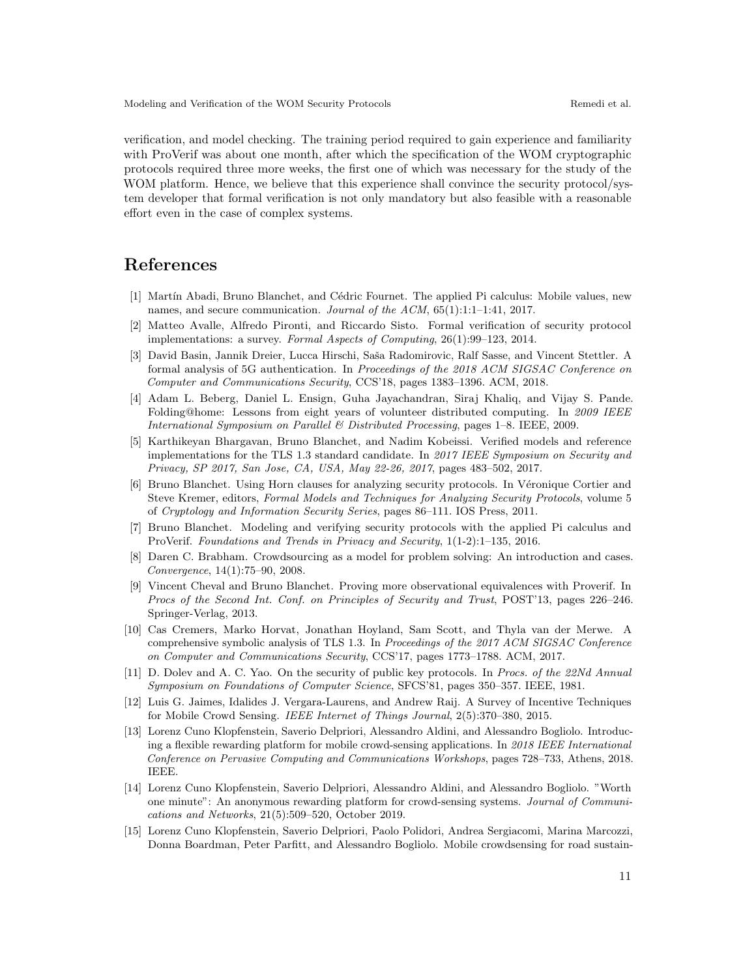verification, and model checking. The training period required to gain experience and familiarity with ProVerif was about one month, after which the specification of the WOM cryptographic protocols required three more weeks, the first one of which was necessary for the study of the WOM platform. Hence, we believe that this experience shall convince the security protocol/system developer that formal verification is not only mandatory but also feasible with a reasonable effort even in the case of complex systems.

# References

- <span id="page-10-7"></span>[1] Martín Abadi, Bruno Blanchet, and Cédric Fournet. The applied Pi calculus: Mobile values, new names, and secure communication. Journal of the ACM, 65(1):1:1-1:41, 2017.
- [2] Matteo Avalle, Alfredo Pironti, and Riccardo Sisto. Formal verification of security protocol implementations: a survey. Formal Aspects of Computing, 26(1):99–123, 2014.
- [3] David Basin, Jannik Dreier, Lucca Hirschi, Saša Radomirovic, Ralf Sasse, and Vincent Stettler. A formal analysis of 5G authentication. In Proceedings of the 2018 ACM SIGSAC Conference on Computer and Communications Security, CCS'18, pages 1383–1396. ACM, 2018.
- <span id="page-10-1"></span>[4] Adam L. Beberg, Daniel L. Ensign, Guha Jayachandran, Siraj Khaliq, and Vijay S. Pande. Folding@home: Lessons from eight years of volunteer distributed computing. In 2009 IEEE International Symposium on Parallel & Distributed Processing, pages 1–8. IEEE, 2009.
- [5] Karthikeyan Bhargavan, Bruno Blanchet, and Nadim Kobeissi. Verified models and reference implementations for the TLS 1.3 standard candidate. In 2017 IEEE Symposium on Security and Privacy, SP 2017, San Jose, CA, USA, May 22-26, 2017, pages 483–502, 2017.
- <span id="page-10-8"></span>[6] Bruno Blanchet. Using Horn clauses for analyzing security protocols. In Véronique Cortier and Steve Kremer, editors, Formal Models and Techniques for Analyzing Security Protocols, volume 5 of Cryptology and Information Security Series, pages 86–111. IOS Press, 2011.
- <span id="page-10-5"></span>[7] Bruno Blanchet. Modeling and verifying security protocols with the applied Pi calculus and ProVerif. Foundations and Trends in Privacy and Security, 1(1-2):1–135, 2016.
- <span id="page-10-0"></span>[8] Daren C. Brabham. Crowdsourcing as a model for problem solving: An introduction and cases. Convergence, 14(1):75–90, 2008.
- <span id="page-10-10"></span>[9] Vincent Cheval and Bruno Blanchet. Proving more observational equivalences with Proverif. In Procs of the Second Int. Conf. on Principles of Security and Trust, POST'13, pages 226–246. Springer-Verlag, 2013.
- [10] Cas Cremers, Marko Horvat, Jonathan Hoyland, Sam Scott, and Thyla van der Merwe. A comprehensive symbolic analysis of TLS 1.3. In Proceedings of the 2017 ACM SIGSAC Conference on Computer and Communications Security, CCS'17, pages 1773–1788. ACM, 2017.
- <span id="page-10-9"></span>[11] D. Dolev and A. C. Yao. On the security of public key protocols. In Procs. of the 22Nd Annual Symposium on Foundations of Computer Science, SFCS'81, pages 350–357. IEEE, 1981.
- <span id="page-10-3"></span>[12] Luis G. Jaimes, Idalides J. Vergara-Laurens, and Andrew Raij. A Survey of Incentive Techniques for Mobile Crowd Sensing. IEEE Internet of Things Journal, 2(5):370–380, 2015.
- <span id="page-10-4"></span>[13] Lorenz Cuno Klopfenstein, Saverio Delpriori, Alessandro Aldini, and Alessandro Bogliolo. Introducing a flexible rewarding platform for mobile crowd-sensing applications. In 2018 IEEE International Conference on Pervasive Computing and Communications Workshops, pages 728–733, Athens, 2018. IEEE.
- <span id="page-10-6"></span>[14] Lorenz Cuno Klopfenstein, Saverio Delpriori, Alessandro Aldini, and Alessandro Bogliolo. "Worth one minute": An anonymous rewarding platform for crowd-sensing systems. Journal of Communications and Networks, 21(5):509–520, October 2019.
- <span id="page-10-2"></span>[15] Lorenz Cuno Klopfenstein, Saverio Delpriori, Paolo Polidori, Andrea Sergiacomi, Marina Marcozzi, Donna Boardman, Peter Parfitt, and Alessandro Bogliolo. Mobile crowdsensing for road sustain-